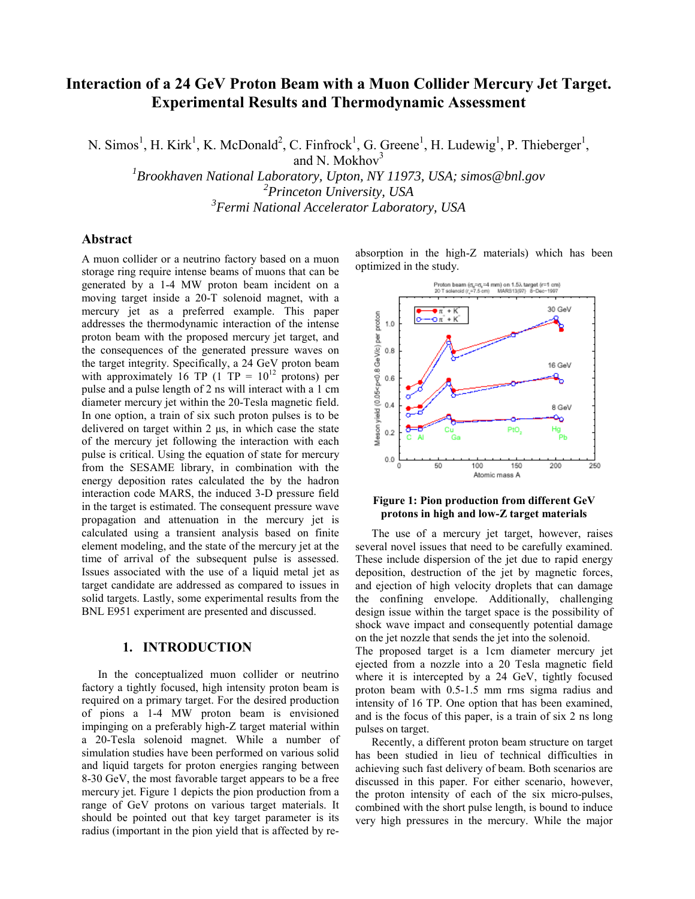# **Interaction of a 24 GeV Proton Beam with a Muon Collider Mercury Jet Target. Experimental Results and Thermodynamic Assessment**

N. Simos<sup>1</sup>, H. Kirk<sup>1</sup>, K. McDonald<sup>2</sup>, C. Finfrock<sup>1</sup>, G. Greene<sup>1</sup>, H. Ludewig<sup>1</sup>, P. Thieberger<sup>1</sup>,

and N. Mokhov $3$ 

*1 Brookhaven National Laboratory, Upton, NY 11973, USA; simos@bnl.gov 2 Princeton University, USA 3 Fermi National Accelerator Laboratory, USA*

#### **Abstract**

A muon collider or a neutrino factory based on a muon storage ring require intense beams of muons that can be generated by a 1-4 MW proton beam incident on a moving target inside a 20-T solenoid magnet, with a mercury jet as a preferred example. This paper addresses the thermodynamic interaction of the intense proton beam with the proposed mercury jet target, and the consequences of the generated pressure waves on the target integrity. Specifically, a 24 GeV proton beam with approximately 16 TP (1 TP =  $10^{12}$  protons) per pulse and a pulse length of 2 ns will interact with a 1 cm diameter mercury jet within the 20-Tesla magnetic field. In one option, a train of six such proton pulses is to be delivered on target within 2 µs, in which case the state of the mercury jet following the interaction with each pulse is critical. Using the equation of state for mercury from the SESAME library, in combination with the energy deposition rates calculated the by the hadron interaction code MARS, the induced 3-D pressure field in the target is estimated. The consequent pressure wave propagation and attenuation in the mercury jet is calculated using a transient analysis based on finite element modeling, and the state of the mercury jet at the time of arrival of the subsequent pulse is assessed. Issues associated with the use of a liquid metal jet as target candidate are addressed as compared to issues in solid targets. Lastly, some experimental results from the BNL E951 experiment are presented and discussed.

## **1. INTRODUCTION**

In the conceptualized muon collider or neutrino factory a tightly focused, high intensity proton beam is required on a primary target. For the desired production of pions a 1-4 MW proton beam is envisioned impinging on a preferably high-Z target material within a 20-Tesla solenoid magnet. While a number of simulation studies have been performed on various solid and liquid targets for proton energies ranging between 8-30 GeV, the most favorable target appears to be a free mercury jet. Figure 1 depicts the pion production from a range of GeV protons on various target materials. It should be pointed out that key target parameter is its radius (important in the pion yield that is affected by reabsorption in the high-Z materials) which has been optimized in the study.



#### **Figure 1: Pion production from different GeV protons in high and low-Z target materials**

The use of a mercury jet target, however, raises several novel issues that need to be carefully examined. These include dispersion of the jet due to rapid energy deposition, destruction of the jet by magnetic forces, and ejection of high velocity droplets that can damage the confining envelope. Additionally, challenging design issue within the target space is the possibility of shock wave impact and consequently potential damage on the jet nozzle that sends the jet into the solenoid.

The proposed target is a 1cm diameter mercury jet ejected from a nozzle into a 20 Tesla magnetic field where it is intercepted by a 24 GeV, tightly focused proton beam with 0.5-1.5 mm rms sigma radius and intensity of 16 TP. One option that has been examined, and is the focus of this paper, is a train of six 2 ns long pulses on target.

Recently, a different proton beam structure on target has been studied in lieu of technical difficulties in achieving such fast delivery of beam. Both scenarios are discussed in this paper. For either scenario, however, the proton intensity of each of the six micro-pulses, combined with the short pulse length, is bound to induce very high pressures in the mercury. While the major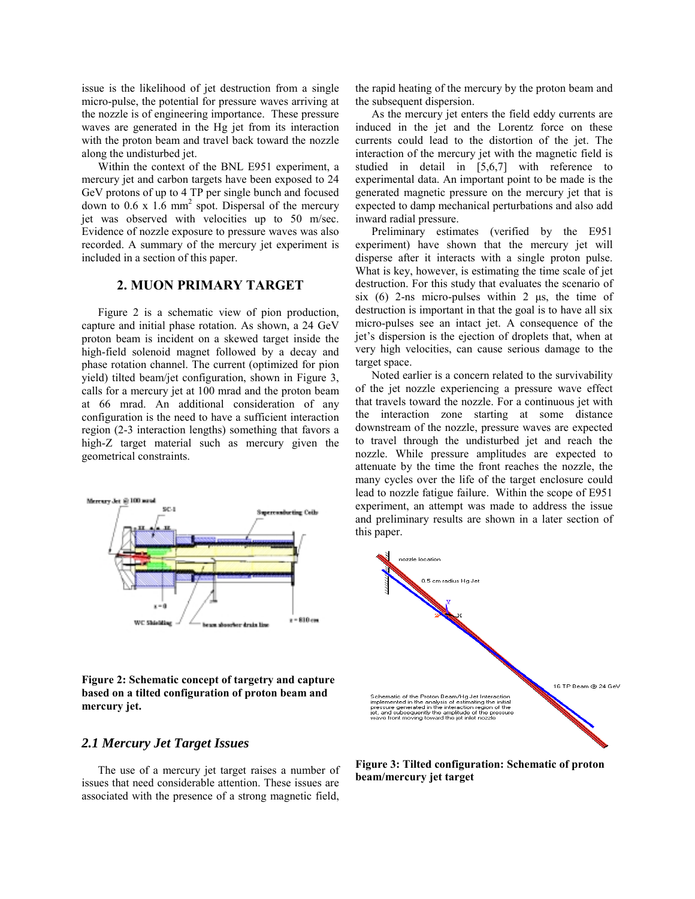issue is the likelihood of jet destruction from a single micro-pulse, the potential for pressure waves arriving at the nozzle is of engineering importance. These pressure waves are generated in the Hg jet from its interaction with the proton beam and travel back toward the nozzle along the undisturbed jet.

Within the context of the BNL E951 experiment, a mercury jet and carbon targets have been exposed to 24 GeV protons of up to 4 TP per single bunch and focused down to  $0.6 \times 1.6$  mm<sup>2</sup> spot. Dispersal of the mercury jet was observed with velocities up to 50 m/sec. Evidence of nozzle exposure to pressure waves was also recorded. A summary of the mercury jet experiment is included in a section of this paper.

## **2. MUON PRIMARY TARGET**

Figure 2 is a schematic view of pion production, capture and initial phase rotation. As shown, a 24 GeV proton beam is incident on a skewed target inside the high-field solenoid magnet followed by a decay and phase rotation channel. The current (optimized for pion yield) tilted beam/jet configuration, shown in Figure 3, calls for a mercury jet at 100 mrad and the proton beam at 66 mrad. An additional consideration of any configuration is the need to have a sufficient interaction region (2-3 interaction lengths) something that favors a high-Z target material such as mercury given the geometrical constraints.



**Figure 2: Schematic concept of targetry and capture based on a tilted configuration of proton beam and mercury jet.**

## *2.1 Mercury Jet Target Issues*

The use of a mercury jet target raises a number of issues that need considerable attention. These issues are associated with the presence of a strong magnetic field, the rapid heating of the mercury by the proton beam and the subsequent dispersion.

As the mercury jet enters the field eddy currents are induced in the jet and the Lorentz force on these currents could lead to the distortion of the jet. The interaction of the mercury jet with the magnetic field is studied in detail in [5,6,7] with reference to experimental data. An important point to be made is the generated magnetic pressure on the mercury jet that is expected to damp mechanical perturbations and also add inward radial pressure.

Preliminary estimates (verified by the E951 experiment) have shown that the mercury jet will disperse after it interacts with a single proton pulse. What is key, however, is estimating the time scale of jet destruction. For this study that evaluates the scenario of six (6) 2-ns micro-pulses within 2  $\mu$ s, the time of destruction is important in that the goal is to have all six micro-pulses see an intact jet. A consequence of the jet's dispersion is the ejection of droplets that, when at very high velocities, can cause serious damage to the target space.

Noted earlier is a concern related to the survivability of the jet nozzle experiencing a pressure wave effect that travels toward the nozzle. For a continuous jet with the interaction zone starting at some distance downstream of the nozzle, pressure waves are expected to travel through the undisturbed jet and reach the nozzle. While pressure amplitudes are expected to attenuate by the time the front reaches the nozzle, the many cycles over the life of the target enclosure could lead to nozzle fatigue failure. Within the scope of E951 experiment, an attempt was made to address the issue and preliminary results are shown in a later section of this paper.



**Figure 3: Tilted configuration: Schematic of proton beam/mercury jet target**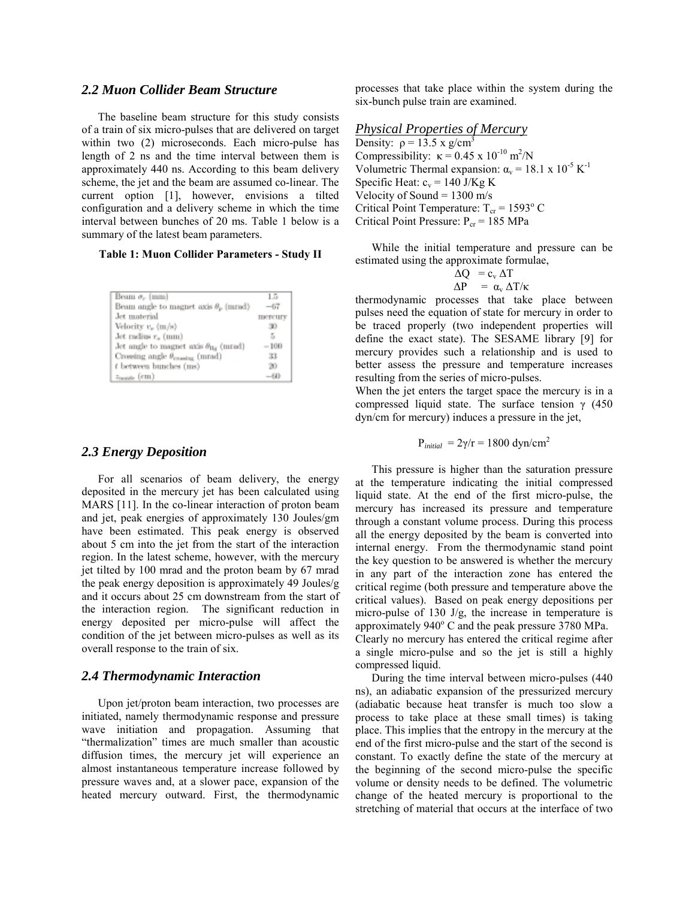#### *2.2 Muon Collider Beam Structure*

The baseline beam structure for this study consists of a train of six micro-pulses that are delivered on target within two (2) microseconds. Each micro-pulse has length of 2 ns and the time interval between them is approximately 440 ns. According to this beam delivery scheme, the jet and the beam are assumed co-linear. The current option [1], however, envisions a tilted configuration and a delivery scheme in which the time interval between bunches of 20 ms. Table 1 below is a summary of the latest beam parameters.

**Table 1: Muon Collider Parameters - Study II**

| Beam $\sigma_r$ (mm)                              | 1.5     |
|---------------------------------------------------|---------|
| Beam angle to magnet axis $\theta_{\rm p}$ (mrad) | $-67$   |
| Jet material                                      | mercury |
| Velocity v <sub>r</sub> (m/s)                     | 30      |
| $\text{Jet}$ radius $r_a$ (mm)                    | 5       |
| Jet angle to magnet axis $\theta_{\rm He}$ (mrad) | $-100$  |
| Crossing angle $\theta_{\text{cosining}}$ (mrad)  | 33      |
| t between bunches (ms)                            | 20      |
| Transda (CIII)                                    | $-60$   |

#### *2.3 Energy Deposition*

For all scenarios of beam delivery, the energy deposited in the mercury jet has been calculated using MARS [11]. In the co-linear interaction of proton beam and jet, peak energies of approximately 130 Joules/gm have been estimated. This peak energy is observed about 5 cm into the jet from the start of the interaction region. In the latest scheme, however, with the mercury jet tilted by 100 mrad and the proton beam by 67 mrad the peak energy deposition is approximately 49 Joules/g and it occurs about 25 cm downstream from the start of the interaction region. The significant reduction in energy deposited per micro-pulse will affect the condition of the jet between micro-pulses as well as its overall response to the train of six.

#### *2.4 Thermodynamic Interaction*

Upon jet/proton beam interaction, two processes are initiated, namely thermodynamic response and pressure wave initiation and propagation. Assuming that "thermalization" times are much smaller than acoustic diffusion times, the mercury jet will experience an almost instantaneous temperature increase followed by pressure waves and, at a slower pace, expansion of the heated mercury outward. First, the thermodynamic processes that take place within the system during the six-bunch pulse train are examined.

*Physical Properties of Mercury*

Density:  $\rho = 13.5 \text{ x g/cm}^3$ Compressibility:  $\kappa = 0.45 \times 10^{-10} \text{ m}^2/\text{N}$ Volumetric Thermal expansion:  $\alpha_v = 18.1 \times 10^{-5} \text{ K}^{-1}$ Specific Heat:  $c_v = 140$  J/Kg K Velocity of Sound  $= 1300$  m/s Critical Point Temperature:  $T_{cr}$  = 1593<sup>°</sup> C Critical Point Pressure:  $P_{cr}$  = 185 MPa

While the initial temperature and pressure can be estimated using the approximate formulae,

$$
\Delta Q = c_v \Delta T
$$
  
 
$$
\Delta P = \alpha_v \Delta T/\kappa
$$

thermodynamic processes that take place between pulses need the equation of state for mercury in order to be traced properly (two independent properties will define the exact state). The SESAME library [9] for mercury provides such a relationship and is used to better assess the pressure and temperature increases resulting from the series of micro-pulses.

When the jet enters the target space the mercury is in a compressed liquid state. The surface tension  $\gamma$  (450) dyn/cm for mercury) induces a pressure in the jet,

$$
P_{initial} = 2\gamma/r = 1800 \text{ dyn/cm}^2
$$

This pressure is higher than the saturation pressure at the temperature indicating the initial compressed liquid state. At the end of the first micro-pulse, the mercury has increased its pressure and temperature through a constant volume process. During this process all the energy deposited by the beam is converted into internal energy. From the thermodynamic stand point the key question to be answered is whether the mercury in any part of the interaction zone has entered the critical regime (both pressure and temperature above the critical values). Based on peak energy depositions per micro-pulse of 130 J/g, the increase in temperature is approximately  $940^{\circ}$  C and the peak pressure  $3780$  MPa. Clearly no mercury has entered the critical regime after a single micro-pulse and so the jet is still a highly compressed liquid.

During the time interval between micro-pulses (440 ns), an adiabatic expansion of the pressurized mercury (adiabatic because heat transfer is much too slow a process to take place at these small times) is taking place. This implies that the entropy in the mercury at the end of the first micro-pulse and the start of the second is constant. To exactly define the state of the mercury at the beginning of the second micro-pulse the specific volume or density needs to be defined. The volumetric change of the heated mercury is proportional to the stretching of material that occurs at the interface of two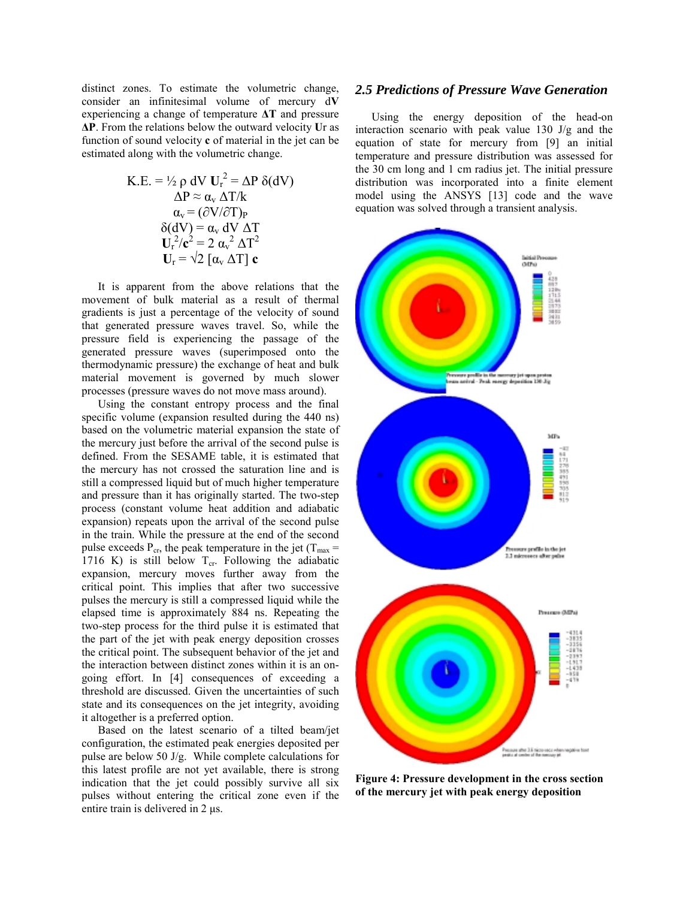distinct zones. To estimate the volumetric change, consider an infinitesimal volume of mercury d**V** experiencing a change of temperature **∆T** and pressure **∆P**. From the relations below the outward velocity **U**r as function of sound velocity **c** of material in the jet can be estimated along with the volumetric change.

K.E. = 
$$
\frac{1}{2} \rho \ dV U_r^2 = \Delta P \delta(dV)
$$
  
\n $\Delta P \approx \alpha_v \ \Delta T/k$   
\n $\alpha_v = (\partial V/\partial T)_P$   
\n $\delta(dV) = \alpha_v \ dV \ \Delta T$   
\n $U_r^2/c^2 = 2 \alpha_v^2 \ \Delta T^2$   
\n $U_r = \sqrt{2} [\alpha_v \ \Delta T] \ c$ 

It is apparent from the above relations that the movement of bulk material as a result of thermal gradients is just a percentage of the velocity of sound that generated pressure waves travel. So, while the pressure field is experiencing the passage of the generated pressure waves (superimposed onto the thermodynamic pressure) the exchange of heat and bulk material movement is governed by much slower processes (pressure waves do not move mass around).

Using the constant entropy process and the final specific volume (expansion resulted during the 440 ns) based on the volumetric material expansion the state of the mercury just before the arrival of the second pulse is defined. From the SESAME table, it is estimated that the mercury has not crossed the saturation line and is still a compressed liquid but of much higher temperature and pressure than it has originally started. The two-step process (constant volume heat addition and adiabatic expansion) repeats upon the arrival of the second pulse in the train. While the pressure at the end of the second pulse exceeds  $P_{cr}$ , the peak temperature in the jet (T<sub>max</sub> = 1716 K) is still below  $T_{cr}$ . Following the adiabatic expansion, mercury moves further away from the critical point. This implies that after two successive pulses the mercury is still a compressed liquid while the elapsed time is approximately 884 ns. Repeating the two-step process for the third pulse it is estimated that the part of the jet with peak energy deposition crosses the critical point. The subsequent behavior of the jet and the interaction between distinct zones within it is an ongoing effort. In [4] consequences of exceeding a threshold are discussed. Given the uncertainties of such state and its consequences on the jet integrity, avoiding it altogether is a preferred option.

Based on the latest scenario of a tilted beam/jet configuration, the estimated peak energies deposited per pulse are below 50 J/g. While complete calculations for this latest profile are not yet available, there is strong indication that the jet could possibly survive all six pulses without entering the critical zone even if the entire train is delivered in 2 µs.

#### *2.5 Predictions of Pressure Wave Generation*

Using the energy deposition of the head-on interaction scenario with peak value 130 J/g and the equation of state for mercury from [9] an initial temperature and pressure distribution was assessed for the 30 cm long and 1 cm radius jet. The initial pressure distribution was incorporated into a finite element model using the ANSYS [13] code and the wave equation was solved through a transient analysis.



**Figure 4: Pressure development in the cross section of the mercury jet with peak energy deposition**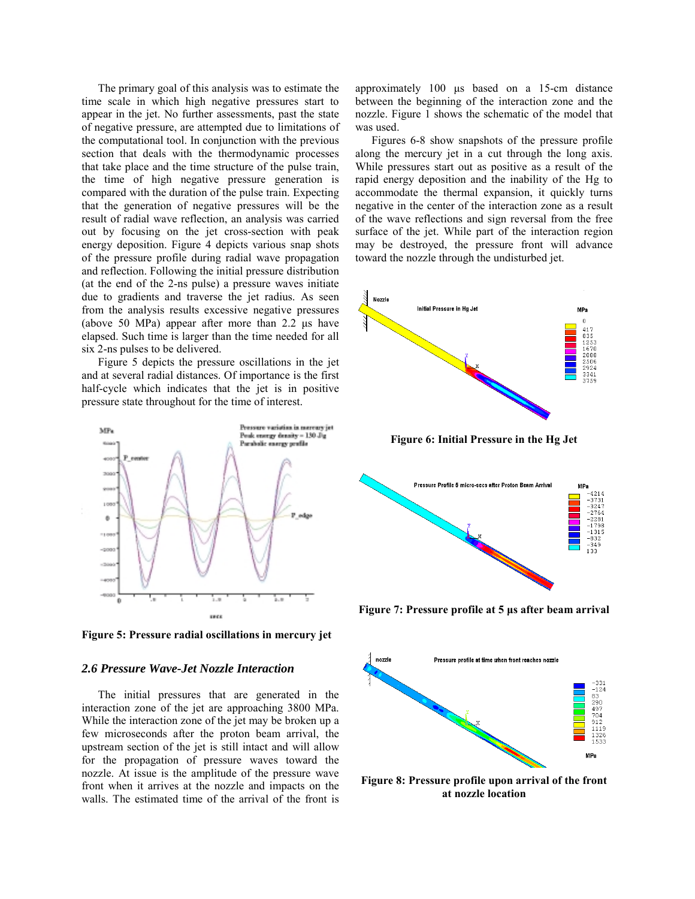The primary goal of this analysis was to estimate the time scale in which high negative pressures start to appear in the jet. No further assessments, past the state of negative pressure, are attempted due to limitations of the computational tool. In conjunction with the previous section that deals with the thermodynamic processes that take place and the time structure of the pulse train, the time of high negative pressure generation is compared with the duration of the pulse train. Expecting that the generation of negative pressures will be the result of radial wave reflection, an analysis was carried out by focusing on the jet cross-section with peak energy deposition. Figure 4 depicts various snap shots of the pressure profile during radial wave propagation and reflection. Following the initial pressure distribution (at the end of the 2-ns pulse) a pressure waves initiate due to gradients and traverse the jet radius. As seen from the analysis results excessive negative pressures (above 50 MPa) appear after more than 2.2 µs have elapsed. Such time is larger than the time needed for all six 2-ns pulses to be delivered.

Figure 5 depicts the pressure oscillations in the jet and at several radial distances. Of importance is the first half-cycle which indicates that the jet is in positive pressure state throughout for the time of interest.



**Figure 5: Pressure radial oscillations in mercury jet**

#### *2.6 Pressure Wave-Jet Nozzle Interaction*

The initial pressures that are generated in the interaction zone of the jet are approaching 3800 MPa. While the interaction zone of the jet may be broken up a few microseconds after the proton beam arrival, the upstream section of the jet is still intact and will allow for the propagation of pressure waves toward the nozzle. At issue is the amplitude of the pressure wave front when it arrives at the nozzle and impacts on the walls. The estimated time of the arrival of the front is approximately 100 µs based on a 15-cm distance between the beginning of the interaction zone and the nozzle. Figure 1 shows the schematic of the model that was used.

Figures 6-8 show snapshots of the pressure profile along the mercury jet in a cut through the long axis. While pressures start out as positive as a result of the rapid energy deposition and the inability of the Hg to accommodate the thermal expansion, it quickly turns negative in the center of the interaction zone as a result of the wave reflections and sign reversal from the free surface of the jet. While part of the interaction region may be destroyed, the pressure front will advance toward the nozzle through the undisturbed jet.



**Figure 6: Initial Pressure in the Hg Jet**



**Figure 7: Pressure profile at 5 µs after beam arrival**



**Figure 8: Pressure profile upon arrival of the front at nozzle location**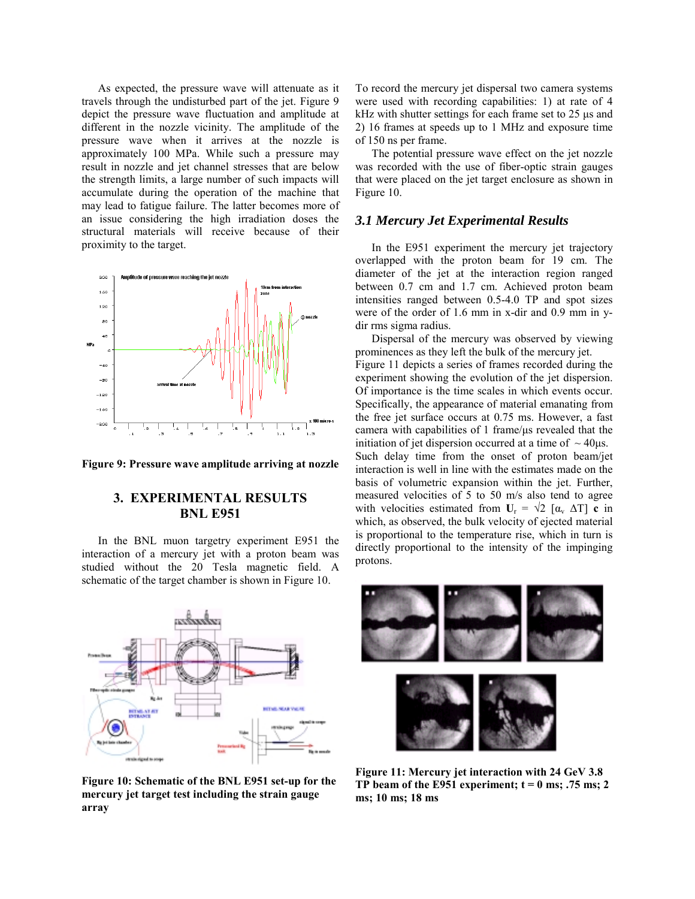As expected, the pressure wave will attenuate as it travels through the undisturbed part of the jet. Figure 9 depict the pressure wave fluctuation and amplitude at different in the nozzle vicinity. The amplitude of the pressure wave when it arrives at the nozzle is approximately 100 MPa. While such a pressure may result in nozzle and jet channel stresses that are below the strength limits, a large number of such impacts will accumulate during the operation of the machine that may lead to fatigue failure. The latter becomes more of an issue considering the high irradiation doses the structural materials will receive because of their proximity to the target.



**Figure 9: Pressure wave amplitude arriving at nozzle**

# **3. EXPERIMENTAL RESULTS BNL E951**

In the BNL muon targetry experiment E951 the interaction of a mercury jet with a proton beam was studied without the 20 Tesla magnetic field. A schematic of the target chamber is shown in Figure 10.



**Figure 10: Schematic of the BNL E951 set-up for the mercury jet target test including the strain gauge array**

To record the mercury jet dispersal two camera systems were used with recording capabilities: 1) at rate of 4 kHz with shutter settings for each frame set to 25 µs and 2) 16 frames at speeds up to 1 MHz and exposure time of 150 ns per frame.

The potential pressure wave effect on the jet nozzle was recorded with the use of fiber-optic strain gauges that were placed on the jet target enclosure as shown in Figure 10.

#### *3.1 Mercury Jet Experimental Results*

In the E951 experiment the mercury jet trajectory overlapped with the proton beam for 19 cm. The diameter of the jet at the interaction region ranged between 0.7 cm and 1.7 cm. Achieved proton beam intensities ranged between 0.5-4.0 TP and spot sizes were of the order of 1.6 mm in x-dir and 0.9 mm in ydir rms sigma radius.

Dispersal of the mercury was observed by viewing prominences as they left the bulk of the mercury jet. Figure 11 depicts a series of frames recorded during the experiment showing the evolution of the jet dispersion. Of importance is the time scales in which events occur. Specifically, the appearance of material emanating from the free jet surface occurs at 0.75 ms. However, a fast camera with capabilities of 1 frame/µs revealed that the initiation of jet dispersion occurred at a time of  $\sim$  40 $\mu$ s. Such delay time from the onset of proton beam/jet interaction is well in line with the estimates made on the basis of volumetric expansion within the jet. Further, measured velocities of 5 to 50 m/s also tend to agree with velocities estimated from  $U_r = \sqrt{2} [\alpha_v \Delta T] c$  in which, as observed, the bulk velocity of ejected material is proportional to the temperature rise, which in turn is directly proportional to the intensity of the impinging protons.



**Figure 11: Mercury jet interaction with 24 GeV 3.8 TP** beam of the E951 experiment;  $t = 0$  ms; .75 ms; 2 **ms; 10 ms; 18 ms**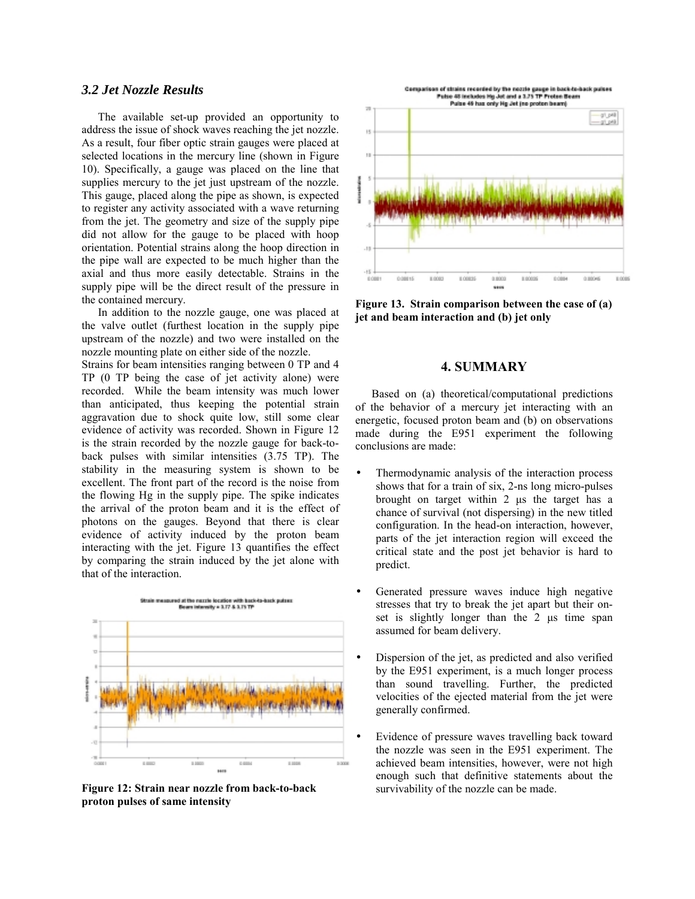## *3.2 Jet Nozzle Results*

The available set-up provided an opportunity to address the issue of shock waves reaching the jet nozzle. As a result, four fiber optic strain gauges were placed at selected locations in the mercury line (shown in Figure 10). Specifically, a gauge was placed on the line that supplies mercury to the jet just upstream of the nozzle. This gauge, placed along the pipe as shown, is expected to register any activity associated with a wave returning from the jet. The geometry and size of the supply pipe did not allow for the gauge to be placed with hoop orientation. Potential strains along the hoop direction in the pipe wall are expected to be much higher than the axial and thus more easily detectable. Strains in the supply pipe will be the direct result of the pressure in the contained mercury.

In addition to the nozzle gauge, one was placed at the valve outlet (furthest location in the supply pipe upstream of the nozzle) and two were installed on the nozzle mounting plate on either side of the nozzle.

Strains for beam intensities ranging between 0 TP and 4 TP (0 TP being the case of jet activity alone) were recorded. While the beam intensity was much lower than anticipated, thus keeping the potential strain aggravation due to shock quite low, still some clear evidence of activity was recorded. Shown in Figure 12 is the strain recorded by the nozzle gauge for back-toback pulses with similar intensities (3.75 TP). The stability in the measuring system is shown to be excellent. The front part of the record is the noise from the flowing Hg in the supply pipe. The spike indicates the arrival of the proton beam and it is the effect of photons on the gauges. Beyond that there is clear evidence of activity induced by the proton beam interacting with the jet. Figure 13 quantifies the effect by comparing the strain induced by the jet alone with that of the interaction.



**Figure 12: Strain near nozzle from back-to-back proton pulses of same intensity**



**Figure 13. Strain comparison between the case of (a) jet and beam interaction and (b) jet only**

#### **4. SUMMARY**

Based on (a) theoretical/computational predictions of the behavior of a mercury jet interacting with an energetic, focused proton beam and (b) on observations made during the E951 experiment the following conclusions are made:

- Thermodynamic analysis of the interaction process shows that for a train of six, 2-ns long micro-pulses brought on target within 2 µs the target has a chance of survival (not dispersing) in the new titled configuration. In the head-on interaction, however, parts of the jet interaction region will exceed the critical state and the post jet behavior is hard to predict.
- Generated pressure waves induce high negative stresses that try to break the jet apart but their onset is slightly longer than the 2 µs time span assumed for beam delivery.
- Dispersion of the jet, as predicted and also verified by the E951 experiment, is a much longer process than sound travelling. Further, the predicted velocities of the ejected material from the jet were generally confirmed.
- Evidence of pressure waves travelling back toward the nozzle was seen in the E951 experiment. The achieved beam intensities, however, were not high enough such that definitive statements about the survivability of the nozzle can be made.